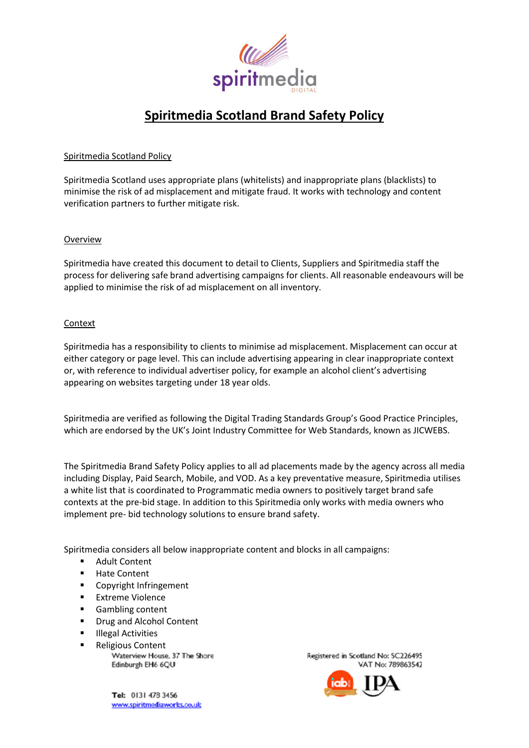

# **Spiritmedia Scotland Brand Safety Policy**

# Spiritmedia Scotland Policy

Spiritmedia Scotland uses appropriate plans (whitelists) and inappropriate plans (blacklists) to minimise the risk of ad misplacement and mitigate fraud. It works with technology and content verification partners to further mitigate risk.

## Overview

Spiritmedia have created this document to detail to Clients, Suppliers and Spiritmedia staff the process for delivering safe brand advertising campaigns for clients. All reasonable endeavours will be applied to minimise the risk of ad misplacement on all inventory.

## Context

Spiritmedia has a responsibility to clients to minimise ad misplacement. Misplacement can occur at either category or page level. This can include advertising appearing in clear inappropriate context or, with reference to individual advertiser policy, for example an alcohol client's advertising appearing on websites targeting under 18 year olds.

Spiritmedia are verified as following the Digital Trading Standards Group's Good Practice Principles, which are endorsed by the UK's Joint Industry Committee for Web Standards, known as JICWEBS.

The Spiritmedia Brand Safety Policy applies to all ad placements made by the agency across all media including Display, Paid Search, Mobile, and VOD. As a key preventative measure, Spiritmedia utilises a white list that is coordinated to Programmatic media owners to positively target brand safe contexts at the pre-bid stage. In addition to this Spiritmedia only works with media owners who implement pre- bid technology solutions to ensure brand safety.

Spiritmedia considers all below inappropriate content and blocks in all campaigns:

- Adult Content
- Hate Content
- Copyright Infringement
- **■** Extreme Violence
- Gambling content
- Drug and Alcohol Content
- Illegal Activities
- 
- Religious Content<br>Waterview House, 37 The Shore Edinburgh EH6 6QU

Tel: 0131 473 3456 www.spiritmediaworks.co.uk Registered in Scotland No: SC226495 VAT No: 789863542

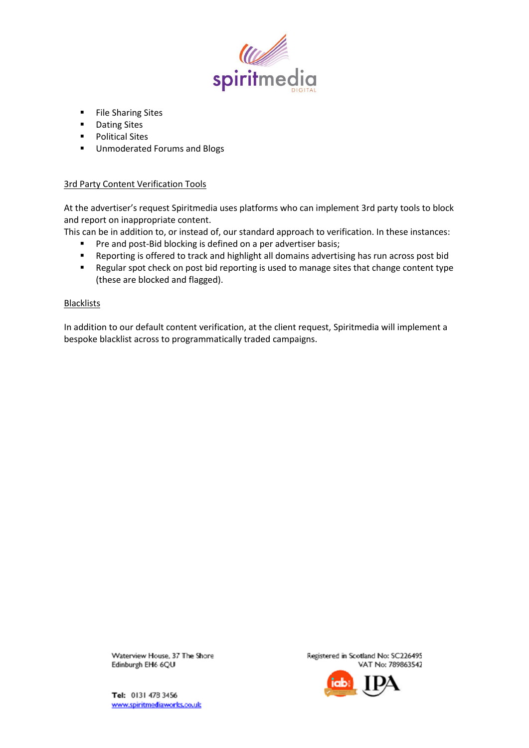

- File Sharing Sites
- Dating Sites
- Political Sites
- Unmoderated Forums and Blogs

# 3rd Party Content Verification Tools

At the advertiser's request Spiritmedia uses platforms who can implement 3rd party tools to block and report on inappropriate content.

This can be in addition to, or instead of, our standard approach to verification. In these instances:

- Pre and post-Bid blocking is defined on a per advertiser basis;
- Reporting is offered to track and highlight all domains advertising has run across post bid
- Regular spot check on post bid reporting is used to manage sites that change content type (these are blocked and flagged).

# Blacklists

In addition to our default content verification, at the client request, Spiritmedia will implement a bespoke blacklist across to programmatically traded campaigns.

> Waterview House, 37 The Shore Edinburgh EH6 6QU

Registered in Scotland No: SC226495 VAT No: 789863542



Tel: 0131 478 3456 www.spiritmediaworks.co.uk